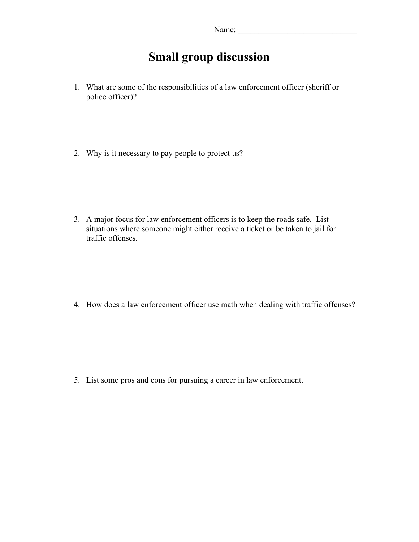## **Small group discussion**

- 1. What are some of the responsibilities of a law enforcement officer (sheriff or police officer)?
- 2. Why is it necessary to pay people to protect us?

3. A major focus for law enforcement officers is to keep the roads safe. List situations where someone might either receive a ticket or be taken to jail for traffic offenses.

4. How does a law enforcement officer use math when dealing with traffic offenses?

5. List some pros and cons for pursuing a career in law enforcement.